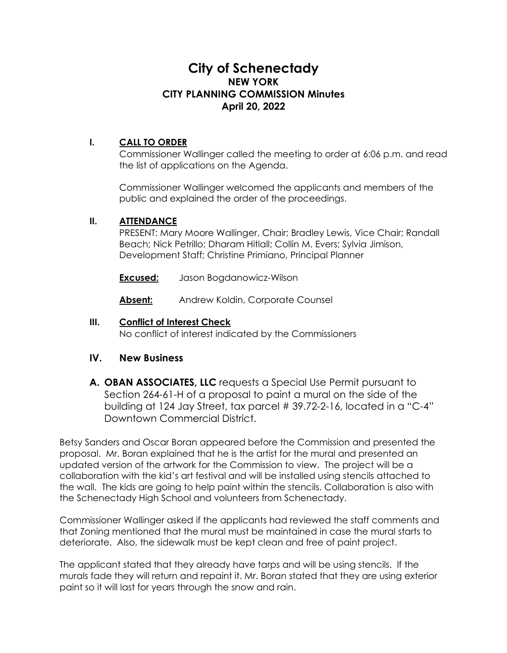# **City of Schenectady NEW YORK CITY PLANNING COMMISSION Minutes April 20, 2022**

## **I. CALL TO ORDER**

Commissioner Wallinger called the meeting to order at 6:06 p.m. and read the list of applications on the Agenda.

Commissioner Wallinger welcomed the applicants and members of the public and explained the order of the proceedings.

## **II. ATTENDANCE**

PRESENT: Mary Moore Wallinger, Chair; Bradley Lewis, Vice Chair; Randall Beach; Nick Petrillo; Dharam Hitlall; Collin M. Evers; Sylvia Jimison, Development Staff; Christine Primiano, Principal Planner

**Excused:** Jason Bogdanowicz-Wilson

**Absent:** Andrew Koldin, Corporate Counsel

### **III. Conflict of Interest Check**

No conflict of interest indicated by the Commissioners

#### **IV. New Business**

**A. OBAN ASSOCIATES, LLC** requests a Special Use Permit pursuant to Section 264-61-H of a proposal to paint a mural on the side of the building at 124 Jay Street, tax parcel # 39.72-2-16, located in a "C-4" Downtown Commercial District.

Betsy Sanders and Oscar Boran appeared before the Commission and presented the proposal. Mr. Boran explained that he is the artist for the mural and presented an updated version of the artwork for the Commission to view. The project will be a collaboration with the kid's art festival and will be installed using stencils attached to the wall. The kids are going to help paint within the stencils. Collaboration is also with the Schenectady High School and volunteers from Schenectady.

Commissioner Wallinger asked if the applicants had reviewed the staff comments and that Zoning mentioned that the mural must be maintained in case the mural starts to deteriorate. Also, the sidewalk must be kept clean and free of paint project.

The applicant stated that they already have tarps and will be using stencils. If the murals fade they will return and repaint it. Mr. Boran stated that they are using exterior paint so it will last for years through the snow and rain.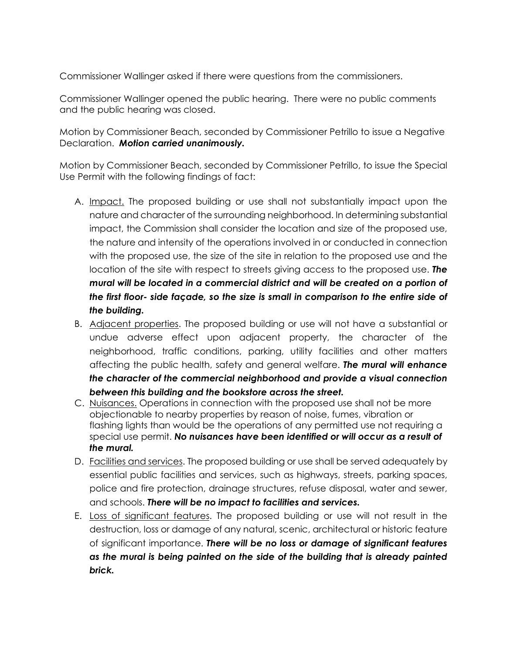Commissioner Wallinger asked if there were questions from the commissioners.

Commissioner Wallinger opened the public hearing. There were no public comments and the public hearing was closed.

Motion by Commissioner Beach, seconded by Commissioner Petrillo to issue a Negative Declaration. *Motion carried unanimously.* 

Motion by Commissioner Beach, seconded by Commissioner Petrillo, to issue the Special Use Permit with the following findings of fact:

- A. Impact. The proposed building or use shall not substantially impact upon the nature and character of the surrounding neighborhood. In determining substantial impact, the Commission shall consider the location and size of the proposed use, the nature and intensity of the operations involved in or conducted in connection with the proposed use, the size of the site in relation to the proposed use and the location of the site with respect to streets giving access to the proposed use. *The mural will be located in a commercial district and will be created on a portion of the first floor- side façade, so the size is small in comparison to the entire side of the building.*
- B. Adjacent properties. The proposed building or use will not have a substantial or undue adverse effect upon adjacent property, the character of the neighborhood, traffic conditions, parking, utility facilities and other matters affecting the public health, safety and general welfare. *The mural will enhance the character of the commercial neighborhood and provide a visual connection between this building and the bookstore across the street.*
- C. Nuisances. Operations in connection with the proposed use shall not be more objectionable to nearby properties by reason of noise, fumes, vibration or flashing lights than would be the operations of any permitted use not requiring a special use permit. *No nuisances have been identified or will occur as a result of the mural.*
- D. Facilities and services. The proposed building or use shall be served adequately by essential public facilities and services, such as highways, streets, parking spaces, police and fire protection, drainage structures, refuse disposal, water and sewer, and schools. *There will be no impact to facilities and services.*
- E. Loss of significant features. The proposed building or use will not result in the destruction, loss or damage of any natural, scenic, architectural or historic feature of significant importance. *There will be no loss or damage of significant features as the mural is being painted on the side of the building that is already painted brick.*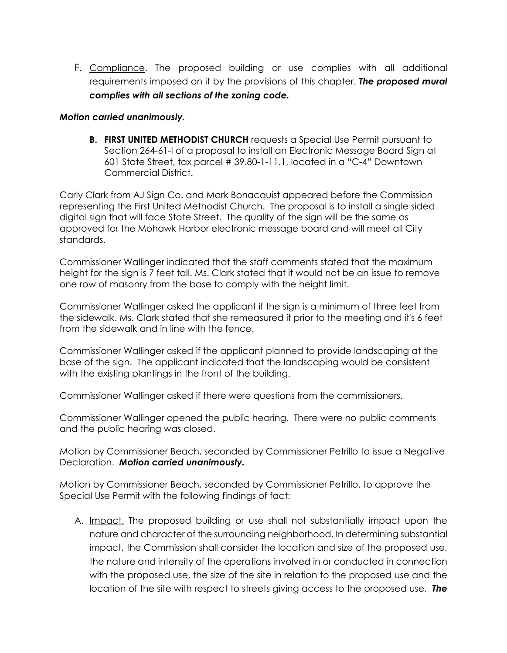F. Compliance. The proposed building or use complies with all additional requirements imposed on it by the provisions of this chapter. *The proposed mural complies with all sections of the zoning code.*

#### *Motion carried unanimously.*

**B. FIRST UNITED METHODIST CHURCH** requests a Special Use Permit pursuant to Section 264-61-I of a proposal to install an Electronic Message Board Sign at 601 State Street, tax parcel # 39.80-1-11.1, located in a "C-4" Downtown Commercial District.

Carly Clark from AJ Sign Co. and Mark Bonacquist appeared before the Commission representing the First United Methodist Church. The proposal is to install a single sided digital sign that will face State Street. The quality of the sign will be the same as approved for the Mohawk Harbor electronic message board and will meet all City standards.

Commissioner Wallinger indicated that the staff comments stated that the maximum height for the sign is 7 feet tall. Ms. Clark stated that it would not be an issue to remove one row of masonry from the base to comply with the height limit.

Commissioner Wallinger asked the applicant if the sign is a minimum of three feet from the sidewalk. Ms. Clark stated that she remeasured it prior to the meeting and it's 6 feet from the sidewalk and in line with the fence.

Commissioner Wallinger asked if the applicant planned to provide landscaping at the base of the sign. The applicant indicated that the landscaping would be consistent with the existing plantings in the front of the building.

Commissioner Wallinger asked if there were questions from the commissioners.

Commissioner Wallinger opened the public hearing. There were no public comments and the public hearing was closed.

Motion by Commissioner Beach, seconded by Commissioner Petrillo to issue a Negative Declaration. *Motion carried unanimously.* 

Motion by Commissioner Beach, seconded by Commissioner Petrillo, to approve the Special Use Permit with the following findings of fact:

A. Impact. The proposed building or use shall not substantially impact upon the nature and character of the surrounding neighborhood. In determining substantial impact, the Commission shall consider the location and size of the proposed use, the nature and intensity of the operations involved in or conducted in connection with the proposed use, the size of the site in relation to the proposed use and the location of the site with respect to streets giving access to the proposed use. *The*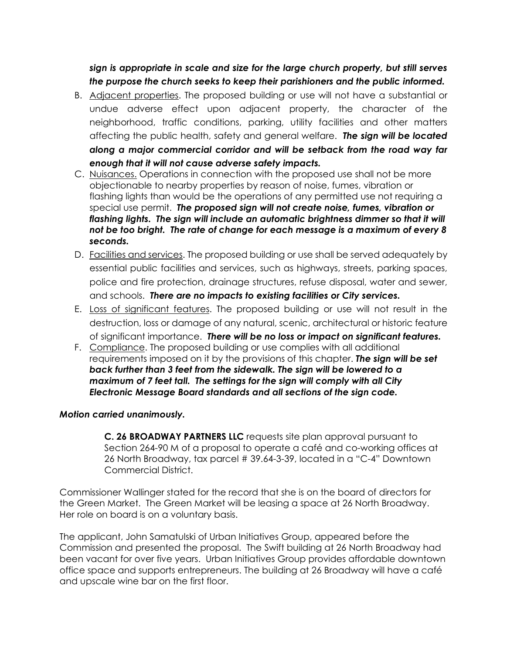*sign is appropriate in scale and size for the large church property, but still serves the purpose the church seeks to keep their parishioners and the public informed.*

- B. Adjacent properties. The proposed building or use will not have a substantial or undue adverse effect upon adjacent property, the character of the neighborhood, traffic conditions, parking, utility facilities and other matters affecting the public health, safety and general welfare. *The sign will be located along a major commercial corridor and will be setback from the road way far enough that it will not cause adverse safety impacts.*
- C. Nuisances. Operations in connection with the proposed use shall not be more objectionable to nearby properties by reason of noise, fumes, vibration or flashing lights than would be the operations of any permitted use not requiring a special use permit. *The proposed sign will not create noise, fumes, vibration or flashing lights. The sign will include an automatic brightness dimmer so that it will not be too bright. The rate of change for each message is a maximum of every 8 seconds.*
- D. Facilities and services. The proposed building or use shall be served adequately by essential public facilities and services, such as highways, streets, parking spaces, police and fire protection, drainage structures, refuse disposal, water and sewer, and schools. *There are no impacts to existing facilities or City services.*
- E. Loss of significant features. The proposed building or use will not result in the destruction, loss or damage of any natural, scenic, architectural or historic feature of significant importance. *There will be no loss or impact on significant features.*
- F. Compliance. The proposed building or use complies with all additional requirements imposed on it by the provisions of this chapter. *The sign will be set back further than 3 feet from the sidewalk. The sign will be lowered to a maximum of 7 feet tall. The settings for the sign will comply with all City Electronic Message Board standards and all sections of the sign code.*

#### *Motion carried unanimously.*

**C. 26 BROADWAY PARTNERS LLC** requests site plan approval pursuant to Section 264-90 M of a proposal to operate a café and co-working offices at 26 North Broadway, tax parcel # 39.64-3-39, located in a "C-4" Downtown Commercial District.

Commissioner Wallinger stated for the record that she is on the board of directors for the Green Market. The Green Market will be leasing a space at 26 North Broadway. Her role on board is on a voluntary basis.

The applicant, John Samatulski of Urban Initiatives Group, appeared before the Commission and presented the proposal. The Swift building at 26 North Broadway had been vacant for over five years. Urban Initiatives Group provides affordable downtown office space and supports entrepreneurs. The building at 26 Broadway will have a café and upscale wine bar on the first floor.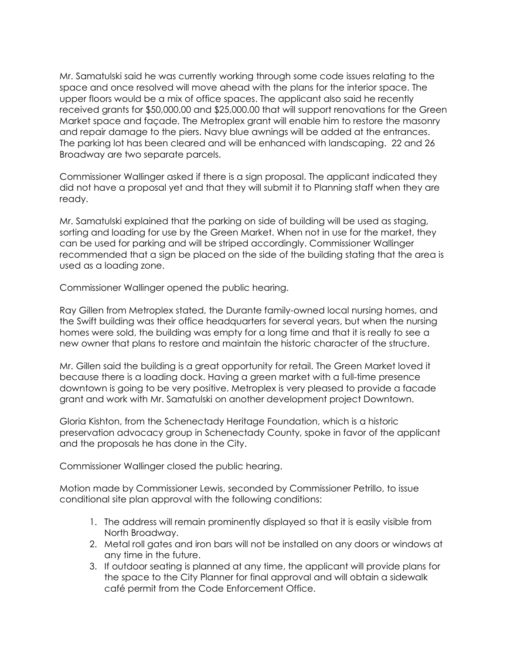Mr. Samatulski said he was currently working through some code issues relating to the space and once resolved will move ahead with the plans for the interior space. The upper floors would be a mix of office spaces. The applicant also said he recently received grants for \$50,000.00 and \$25,000.00 that will support renovations for the Green Market space and façade. The Metroplex grant will enable him to restore the masonry and repair damage to the piers. Navy blue awnings will be added at the entrances. The parking lot has been cleared and will be enhanced with landscaping. 22 and 26 Broadway are two separate parcels.

Commissioner Wallinger asked if there is a sign proposal. The applicant indicated they did not have a proposal yet and that they will submit it to Planning staff when they are ready.

Mr. Samatulski explained that the parking on side of building will be used as staging, sorting and loading for use by the Green Market. When not in use for the market, they can be used for parking and will be striped accordingly. Commissioner Wallinger recommended that a sign be placed on the side of the building stating that the area is used as a loading zone.

Commissioner Wallinger opened the public hearing.

Ray Gillen from Metroplex stated, the Durante family-owned local nursing homes, and the Swift building was their office headquarters for several years, but when the nursing homes were sold, the building was empty for a long time and that it is really to see a new owner that plans to restore and maintain the historic character of the structure.

Mr. Gillen said the building is a great opportunity for retail. The Green Market loved it because there is a loading dock. Having a green market with a full-time presence downtown is going to be very positive. Metroplex is very pleased to provide a facade grant and work with Mr. Samatulski on another development project Downtown.

Gloria Kishton, from the Schenectady Heritage Foundation, which is a historic preservation advocacy group in Schenectady County, spoke in favor of the applicant and the proposals he has done in the City.

Commissioner Wallinger closed the public hearing.

Motion made by Commissioner Lewis, seconded by Commissioner Petrillo, to issue conditional site plan approval with the following conditions:

- 1. The address will remain prominently displayed so that it is easily visible from North Broadway.
- 2. Metal roll gates and iron bars will not be installed on any doors or windows at any time in the future.
- 3. If outdoor seating is planned at any time, the applicant will provide plans for the space to the City Planner for final approval and will obtain a sidewalk café permit from the Code Enforcement Office.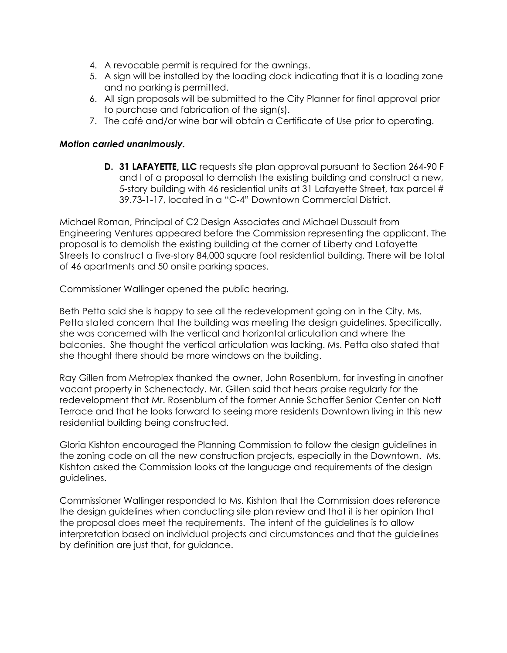- 4. A revocable permit is required for the awnings.
- 5. A sign will be installed by the loading dock indicating that it is a loading zone and no parking is permitted.
- 6. All sign proposals will be submitted to the City Planner for final approval prior to purchase and fabrication of the sign(s).
- 7. The café and/or wine bar will obtain a Certificate of Use prior to operating.

#### *Motion carried unanimously.*

**D. 31 LAFAYETTE, LLC** requests site plan approval pursuant to Section 264-90 F and I of a proposal to demolish the existing building and construct a new, 5-story building with 46 residential units at 31 Lafayette Street, tax parcel # 39.73-1-17, located in a "C-4" Downtown Commercial District.

Michael Roman, Principal of C2 Design Associates and Michael Dussault from Engineering Ventures appeared before the Commission representing the applicant. The proposal is to demolish the existing building at the corner of Liberty and Lafayette Streets to construct a five-story 84,000 square foot residential building. There will be total of 46 apartments and 50 onsite parking spaces.

Commissioner Wallinger opened the public hearing.

Beth Petta said she is happy to see all the redevelopment going on in the City. Ms. Petta stated concern that the building was meeting the design guidelines. Specifically, she was concerned with the vertical and horizontal articulation and where the balconies. She thought the vertical articulation was lacking. Ms. Petta also stated that she thought there should be more windows on the building.

Ray Gillen from Metroplex thanked the owner, John Rosenblum, for investing in another vacant property in Schenectady. Mr. Gillen said that hears praise regularly for the redevelopment that Mr. Rosenblum of the former Annie Schaffer Senior Center on Nott Terrace and that he looks forward to seeing more residents Downtown living in this new residential building being constructed.

Gloria Kishton encouraged the Planning Commission to follow the design guidelines in the zoning code on all the new construction projects, especially in the Downtown. Ms. Kishton asked the Commission looks at the language and requirements of the design guidelines.

Commissioner Wallinger responded to Ms. Kishton that the Commission does reference the design guidelines when conducting site plan review and that it is her opinion that the proposal does meet the requirements. The intent of the guidelines is to allow interpretation based on individual projects and circumstances and that the guidelines by definition are just that, for guidance.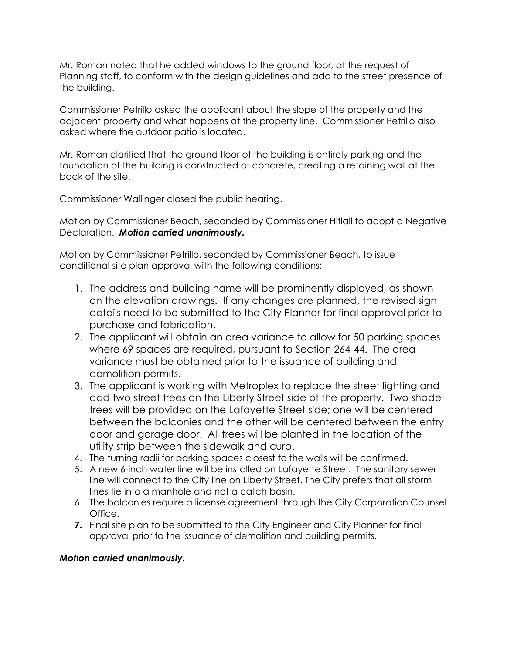Mr. Roman noted that he added windows to the ground floor, at the request of Planning staff, to conform with the design guidelines and add to the street presence of the building.

Commissioner Petrillo asked the applicant about the slope of the property and the adjacent property and what happens at the property line. Commissioner Petrillo also asked where the outdoor patio is located.

Mr. Roman clarified that the ground floor of the building is entirely parking and the foundation of the building is constructed of concrete, creating a retaining wall at the back of the site.

Commissioner Wallinger closed the public hearing.

Motion by Commissioner Beach, seconded by Commissioner Hitlall to adopt a Negative Declaration. *Motion carried unanimously.*

Motion by Commissioner Petrillo, seconded by Commissioner Beach, to issue conditional site plan approval with the following conditions:

- 1. The address and building name will be prominently displayed, as shown on the elevation drawings. If any changes are planned, the revised sign details need to be submitted to the City Planner for final approval prior to purchase and fabrication.
- 2. The applicant will obtain an area variance to allow for 50 parking spaces where 69 spaces are required, pursuant to Section 264-44. The area variance must be obtained prior to the issuance of building and demolition permits.
- 3. The applicant is working with Metroplex to replace the street lighting and add two street trees on the Liberty Street side of the property. Two shade trees will be provided on the Lafayette Street side; one will be centered between the balconies and the other will be centered between the entry door and garage door. All trees will be planted in the location of the utility strip between the sidewalk and curb.
- 4. The turning radii for parking spaces closest to the walls will be confirmed.
- 5. A new 6-inch water line will be installed on Lafayette Street. The sanitary sewer line will connect to the City line on Liberty Street. The City prefers that all storm lines tie into a manhole and not a catch basin.
- 6. The balconies require a license agreement through the City Corporation Counsel Office.
- **7.** Final site plan to be submitted to the City Engineer and City Planner for final approval prior to the issuance of demolition and building permits.

#### *Motion carried unanimously.*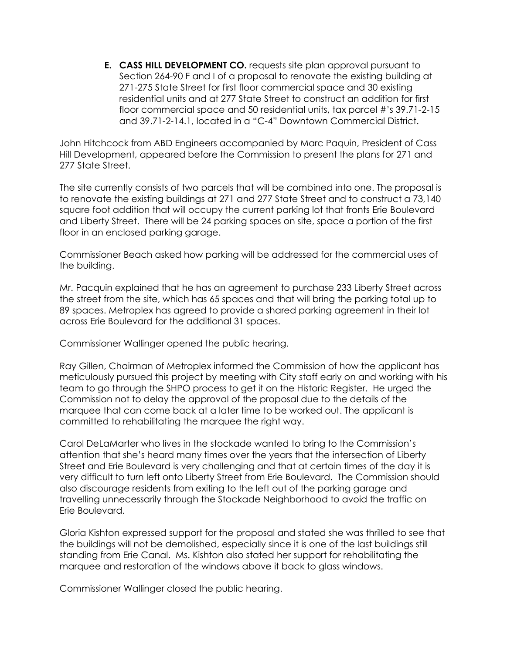**E. CASS HILL DEVELOPMENT CO.** requests site plan approval pursuant to Section 264-90 F and I of a proposal to renovate the existing building at 271-275 State Street for first floor commercial space and 30 existing residential units and at 277 State Street to construct an addition for first floor commercial space and 50 residential units, tax parcel #'s 39.71-2-15 and 39.71-2-14.1, located in a "C-4" Downtown Commercial District.

John Hitchcock from ABD Engineers accompanied by Marc Paquin, President of Cass Hill Development, appeared before the Commission to present the plans for 271 and 277 State Street.

The site currently consists of two parcels that will be combined into one. The proposal is to renovate the existing buildings at 271 and 277 State Street and to construct a 73,140 square foot addition that will occupy the current parking lot that fronts Erie Boulevard and Liberty Street. There will be 24 parking spaces on site, space a portion of the first floor in an enclosed parking garage.

Commissioner Beach asked how parking will be addressed for the commercial uses of the building.

Mr. Pacquin explained that he has an agreement to purchase 233 Liberty Street across the street from the site, which has 65 spaces and that will bring the parking total up to 89 spaces. Metroplex has agreed to provide a shared parking agreement in their lot across Erie Boulevard for the additional 31 spaces.

Commissioner Wallinger opened the public hearing.

Ray Gillen, Chairman of Metroplex informed the Commission of how the applicant has meticulously pursued this project by meeting with City staff early on and working with his team to go through the SHPO process to get it on the Historic Register. He urged the Commission not to delay the approval of the proposal due to the details of the marquee that can come back at a later time to be worked out. The applicant is committed to rehabilitating the marquee the right way.

Carol DeLaMarter who lives in the stockade wanted to bring to the Commission's attention that she's heard many times over the years that the intersection of Liberty Street and Erie Boulevard is very challenging and that at certain times of the day it is very difficult to turn left onto Liberty Street from Erie Boulevard. The Commission should also discourage residents from exiting to the left out of the parking garage and travelling unnecessarily through the Stockade Neighborhood to avoid the traffic on Erie Boulevard.

Gloria Kishton expressed support for the proposal and stated she was thrilled to see that the buildings will not be demolished, especially since it is one of the last buildings still standing from Erie Canal. Ms. Kishton also stated her support for rehabilitating the marquee and restoration of the windows above it back to glass windows.

Commissioner Wallinger closed the public hearing.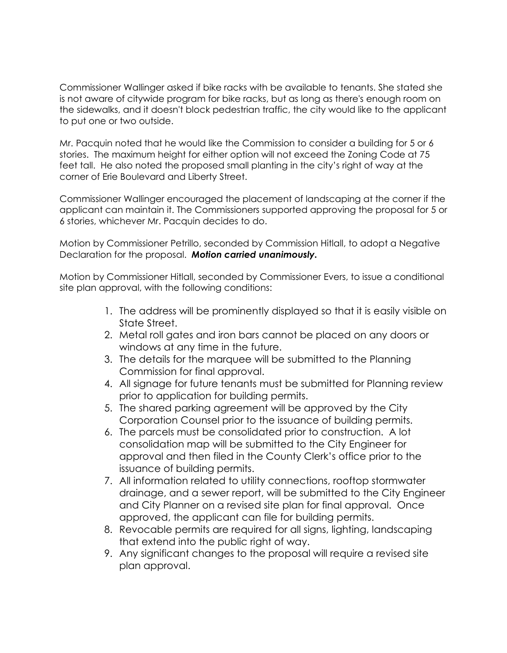Commissioner Wallinger asked if bike racks with be available to tenants. She stated she is not aware of citywide program for bike racks, but as long as there's enough room on the sidewalks, and it doesn't block pedestrian traffic, the city would like to the applicant to put one or two outside.

Mr. Pacquin noted that he would like the Commission to consider a building for 5 or 6 stories. The maximum height for either option will not exceed the Zoning Code at 75 feet tall. He also noted the proposed small planting in the city's right of way at the corner of Erie Boulevard and Liberty Street.

Commissioner Wallinger encouraged the placement of landscaping at the corner if the applicant can maintain it. The Commissioners supported approving the proposal for 5 or 6 stories, whichever Mr. Pacquin decides to do.

Motion by Commissioner Petrillo, seconded by Commission Hitlall, to adopt a Negative Declaration for the proposal. *Motion carried unanimously.*

Motion by Commissioner Hitlall, seconded by Commissioner Evers, to issue a conditional site plan approval, with the following conditions:

- 1. The address will be prominently displayed so that it is easily visible on State Street.
- 2. Metal roll gates and iron bars cannot be placed on any doors or windows at any time in the future.
- 3. The details for the marquee will be submitted to the Planning Commission for final approval.
- 4. All signage for future tenants must be submitted for Planning review prior to application for building permits.
- 5. The shared parking agreement will be approved by the City Corporation Counsel prior to the issuance of building permits.
- 6. The parcels must be consolidated prior to construction. A lot consolidation map will be submitted to the City Engineer for approval and then filed in the County Clerk's office prior to the issuance of building permits.
- 7. All information related to utility connections, rooftop stormwater drainage, and a sewer report, will be submitted to the City Engineer and City Planner on a revised site plan for final approval. Once approved, the applicant can file for building permits.
- 8. Revocable permits are required for all signs, lighting, landscaping that extend into the public right of way.
- 9. Any significant changes to the proposal will require a revised site plan approval.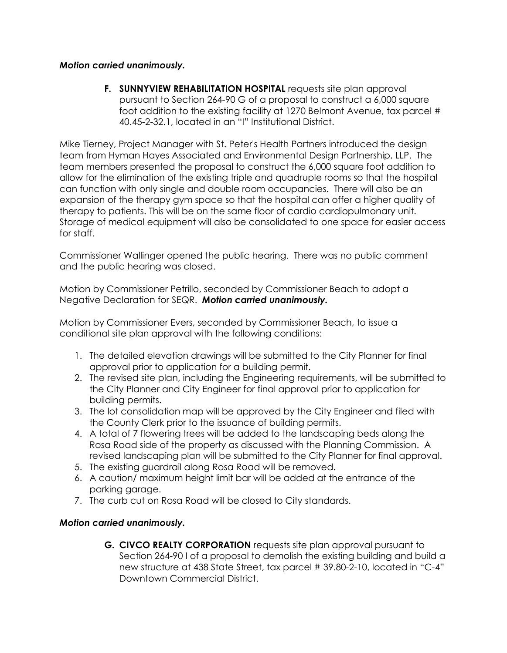#### *Motion carried unanimously.*

**F. SUNNYVIEW REHABILITATION HOSPITAL** requests site plan approval pursuant to Section 264-90 G of a proposal to construct a 6,000 square foot addition to the existing facility at 1270 Belmont Avenue, tax parcel # 40.45-2-32.1, located in an "I" Institutional District.

Mike Tierney, Project Manager with St. Peter's Health Partners introduced the design team from Hyman Hayes Associated and Environmental Design Partnership, LLP. The team members presented the proposal to construct the 6,000 square foot addition to allow for the elimination of the existing triple and quadruple rooms so that the hospital can function with only single and double room occupancies. There will also be an expansion of the therapy gym space so that the hospital can offer a higher quality of therapy to patients. This will be on the same floor of cardio cardiopulmonary unit. Storage of medical equipment will also be consolidated to one space for easier access for staff.

Commissioner Wallinger opened the public hearing. There was no public comment and the public hearing was closed.

Motion by Commissioner Petrillo, seconded by Commissioner Beach to adopt a Negative Declaration for SEQR. *Motion carried unanimously.*

Motion by Commissioner Evers, seconded by Commissioner Beach, to issue a conditional site plan approval with the following conditions:

- 1. The detailed elevation drawings will be submitted to the City Planner for final approval prior to application for a building permit.
- 2. The revised site plan, including the Engineering requirements, will be submitted to the City Planner and City Engineer for final approval prior to application for building permits.
- 3. The lot consolidation map will be approved by the City Engineer and filed with the County Clerk prior to the issuance of building permits.
- 4. A total of 7 flowering trees will be added to the landscaping beds along the Rosa Road side of the property as discussed with the Planning Commission. A revised landscaping plan will be submitted to the City Planner for final approval.
- 5. The existing guardrail along Rosa Road will be removed.
- 6. A caution/ maximum height limit bar will be added at the entrance of the parking garage.
- 7. The curb cut on Rosa Road will be closed to City standards.

## *Motion carried unanimously.*

**G. CIVCO REALTY CORPORATION** requests site plan approval pursuant to Section 264-90 I of a proposal to demolish the existing building and build a new structure at 438 State Street, tax parcel # 39.80-2-10, located in "C-4" Downtown Commercial District.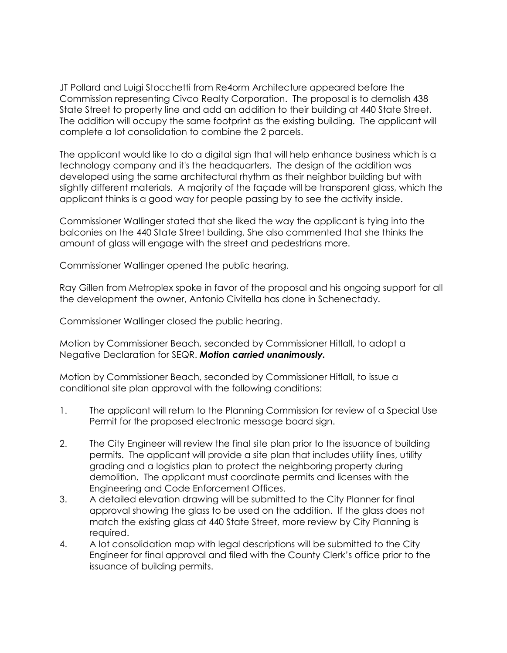JT Pollard and Luigi Stocchetti from Re4orm Architecture appeared before the Commission representing Civco Realty Corporation. The proposal is to demolish 438 State Street to property line and add an addition to their building at 440 State Street. The addition will occupy the same footprint as the existing building. The applicant will complete a lot consolidation to combine the 2 parcels.

The applicant would like to do a digital sign that will help enhance business which is a technology company and it's the headquarters. The design of the addition was developed using the same architectural rhythm as their neighbor building but with slightly different materials. A majority of the façade will be transparent glass, which the applicant thinks is a good way for people passing by to see the activity inside.

Commissioner Wallinger stated that she liked the way the applicant is tying into the balconies on the 440 State Street building. She also commented that she thinks the amount of glass will engage with the street and pedestrians more.

Commissioner Wallinger opened the public hearing.

Ray Gillen from Metroplex spoke in favor of the proposal and his ongoing support for all the development the owner, Antonio Civitella has done in Schenectady.

Commissioner Wallinger closed the public hearing.

Motion by Commissioner Beach, seconded by Commissioner Hitlall, to adopt a Negative Declaration for SEQR. *Motion carried unanimously.*

Motion by Commissioner Beach, seconded by Commissioner Hitlall, to issue a conditional site plan approval with the following conditions:

- 1. The applicant will return to the Planning Commission for review of a Special Use Permit for the proposed electronic message board sign.
- 2. The City Engineer will review the final site plan prior to the issuance of building permits. The applicant will provide a site plan that includes utility lines, utility grading and a logistics plan to protect the neighboring property during demolition. The applicant must coordinate permits and licenses with the Engineering and Code Enforcement Offices.
- 3. A detailed elevation drawing will be submitted to the City Planner for final approval showing the glass to be used on the addition. If the glass does not match the existing glass at 440 State Street, more review by City Planning is required.
- 4. A lot consolidation map with legal descriptions will be submitted to the City Engineer for final approval and filed with the County Clerk's office prior to the issuance of building permits.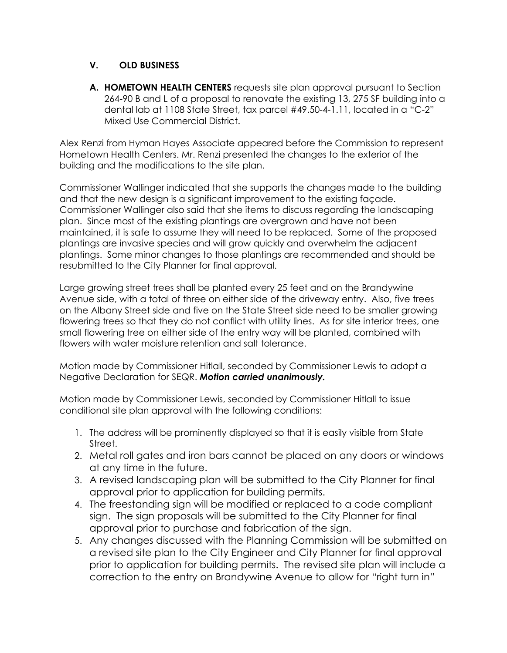## **V. OLD BUSINESS**

**A. HOMETOWN HEALTH CENTERS** requests site plan approval pursuant to Section 264-90 B and L of a proposal to renovate the existing 13, 275 SF building into a dental lab at 1108 State Street, tax parcel #49.50-4-1.11, located in a "C-2" Mixed Use Commercial District.

Alex Renzi from Hyman Hayes Associate appeared before the Commission to represent Hometown Health Centers. Mr. Renzi presented the changes to the exterior of the building and the modifications to the site plan.

Commissioner Wallinger indicated that she supports the changes made to the building and that the new design is a significant improvement to the existing façade. Commissioner Wallinger also said that she items to discuss regarding the landscaping plan. Since most of the existing plantings are overgrown and have not been maintained, it is safe to assume they will need to be replaced. Some of the proposed plantings are invasive species and will grow quickly and overwhelm the adjacent plantings. Some minor changes to those plantings are recommended and should be resubmitted to the City Planner for final approval.

Large growing street trees shall be planted every 25 feet and on the Brandywine Avenue side, with a total of three on either side of the driveway entry. Also, five trees on the Albany Street side and five on the State Street side need to be smaller growing flowering trees so that they do not conflict with utility lines. As for site interior trees, one small flowering tree on either side of the entry way will be planted, combined with flowers with water moisture retention and salt tolerance.

Motion made by Commissioner Hitlall, seconded by Commissioner Lewis to adopt a Negative Declaration for SEQR. *Motion carried unanimously.*

Motion made by Commissioner Lewis, seconded by Commissioner Hitlall to issue conditional site plan approval with the following conditions:

- 1. The address will be prominently displayed so that it is easily visible from State Street.
- 2. Metal roll gates and iron bars cannot be placed on any doors or windows at any time in the future.
- 3. A revised landscaping plan will be submitted to the City Planner for final approval prior to application for building permits.
- 4. The freestanding sign will be modified or replaced to a code compliant sign. The sign proposals will be submitted to the City Planner for final approval prior to purchase and fabrication of the sign.
- 5. Any changes discussed with the Planning Commission will be submitted on a revised site plan to the City Engineer and City Planner for final approval prior to application for building permits. The revised site plan will include a correction to the entry on Brandywine Avenue to allow for "right turn in"